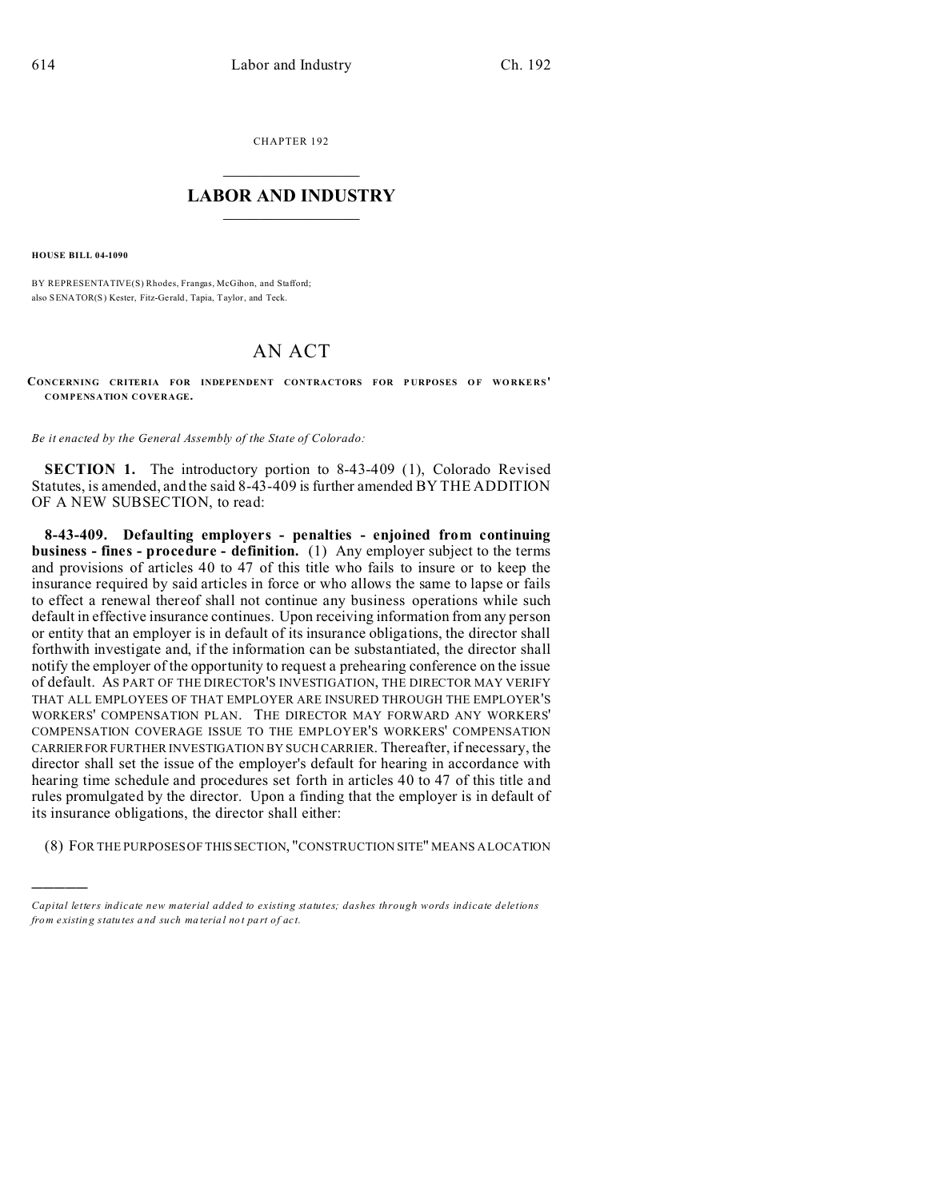CHAPTER 192  $\overline{\phantom{a}}$  , where  $\overline{\phantom{a}}$ 

## **LABOR AND INDUSTRY**  $\frac{1}{\sqrt{2}}$  ,  $\frac{1}{\sqrt{2}}$  ,  $\frac{1}{\sqrt{2}}$  ,  $\frac{1}{\sqrt{2}}$  ,  $\frac{1}{\sqrt{2}}$  ,  $\frac{1}{\sqrt{2}}$

**HOUSE BILL 04-1090**

)))))

BY REPRESENTATIVE(S) Rhodes, Frangas, McGihon, and Stafford; also SENATOR(S) Kester, Fitz-Gerald, Tapia, Taylor, and Teck.

## AN ACT

 $$ **COMPENSATION COVERAGE.**

*Be it enacted by the General Assembly of the State of Colorado:*

**SECTION 1.** The introductory portion to 8-43-409 (1), Colorado Revised Statutes, is amended, and the said 8-43-409 is further amended BY THE ADDITION OF A NEW SUBSECTION, to read:

**8-43-409. Defaulting employers - penalties - enjoined from continuing business - fines - procedure - definition.** (1) Any employer subject to the terms and provisions of articles 40 to 47 of this title who fails to insure or to keep the insurance required by said articles in force or who allows the same to lapse or fails to effect a renewal thereof shall not continue any business operations while such default in effective insurance continues. Upon receiving information from any person or entity that an employer is in default of its insurance obligations, the director shall forthwith investigate and, if the information can be substantiated, the director shall notify the employer of the opportunity to request a prehearing conference on the issue of default. AS PART OF THE DIRECTOR'S INVESTIGATION, THE DIRECTOR MAY VERIFY THAT ALL EMPLOYEES OF THAT EMPLOYER ARE INSURED THROUGH THE EMPLOYER'S WORKERS' COMPENSATION PLAN. THE DIRECTOR MAY FORWARD ANY WORKERS' COMPENSATION COVERAGE ISSUE TO THE EMPLOYER'S WORKERS' COMPENSATION CARRIERFOR FURTHER INVESTIGATION BY SUCH CARRIER. Thereafter, if necessary, the director shall set the issue of the employer's default for hearing in accordance with hearing time schedule and procedures set forth in articles 40 to 47 of this title and rules promulgated by the director. Upon a finding that the employer is in default of its insurance obligations, the director shall either:

(8) FOR THE PURPOSES OF THISSECTION, "CONSTRUCTION SITE" MEANS A LOCATION

*Capital letters indicate new material added to existing statutes; dashes through words indicate deletions from e xistin g statu tes a nd such ma teria l no t pa rt of ac t.*